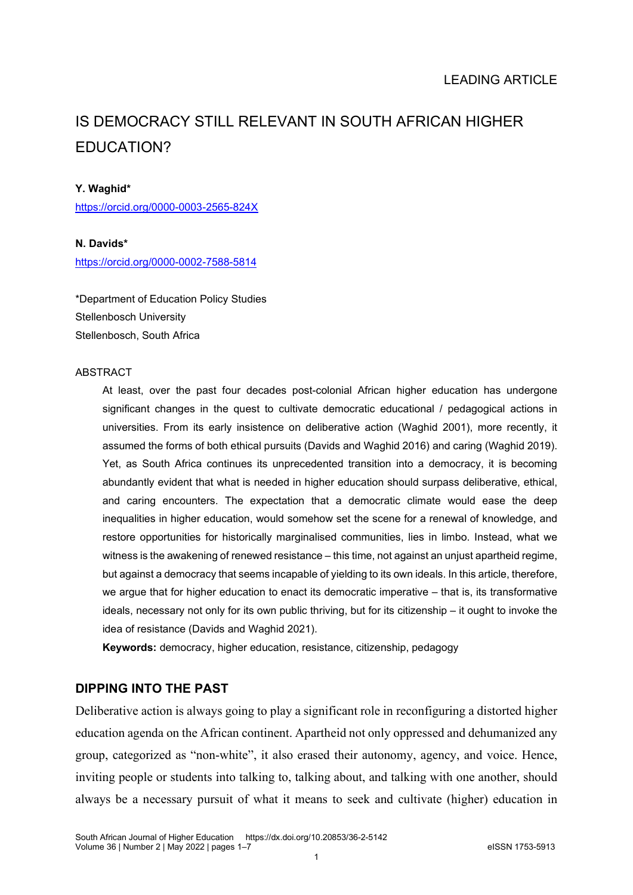# IS DEMOCRACY STILL RELEVANT IN SOUTH AFRICAN HIGHER EDUCATION?

#### **Y. Waghid\***

<https://orcid.org/0000-0003-2565-824X>

#### **N. Davids\***

<https://orcid.org/0000-0002-7588-5814>

\*Department of Education Policy Studies Stellenbosch University Stellenbosch, South Africa

#### ABSTRACT

At least, over the past four decades post-colonial African higher education has undergone significant changes in the quest to cultivate democratic educational / pedagogical actions in universities. From its early insistence on deliberative action (Waghid 2001), more recently, it assumed the forms of both ethical pursuits (Davids and Waghid 2016) and caring (Waghid 2019). Yet, as South Africa continues its unprecedented transition into a democracy, it is becoming abundantly evident that what is needed in higher education should surpass deliberative, ethical, and caring encounters. The expectation that a democratic climate would ease the deep inequalities in higher education, would somehow set the scene for a renewal of knowledge, and restore opportunities for historically marginalised communities, lies in limbo. Instead, what we witness is the awakening of renewed resistance – this time, not against an unjust apartheid regime, but against a democracy that seems incapable of yielding to its own ideals. In this article, therefore, we argue that for higher education to enact its democratic imperative – that is, its transformative ideals, necessary not only for its own public thriving, but for its citizenship – it ought to invoke the idea of resistance (Davids and Waghid 2021).

**Keywords:** democracy, higher education, resistance, citizenship, pedagogy

### **DIPPING INTO THE PAST**

Deliberative action is always going to play a significant role in reconfiguring a distorted higher education agenda on the African continent. Apartheid not only oppressed and dehumanized any group, categorized as "non-white", it also erased their autonomy, agency, and voice. Hence, inviting people or students into talking to, talking about, and talking with one another, should always be a necessary pursuit of what it means to seek and cultivate (higher) education in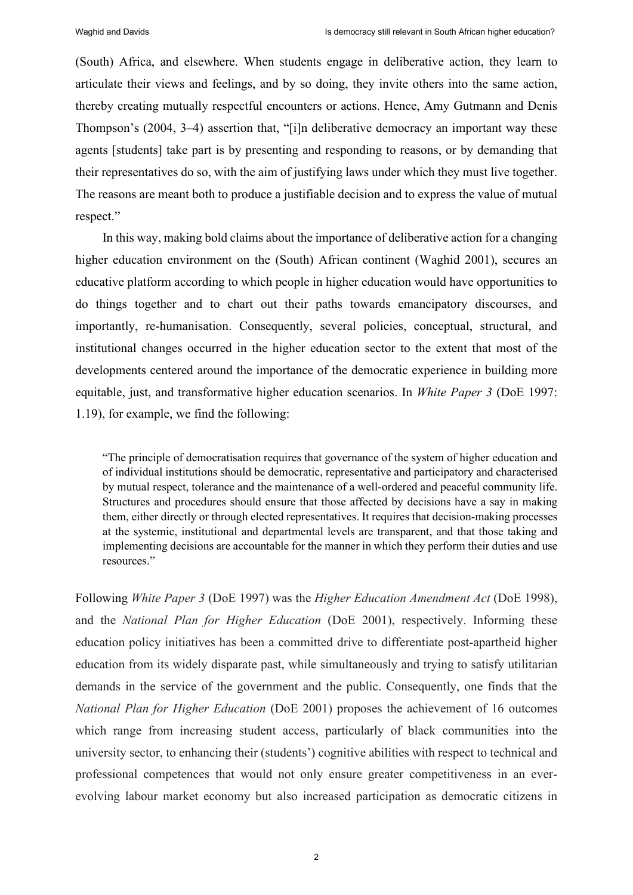(South) Africa, and elsewhere. When students engage in deliberative action, they learn to articulate their views and feelings, and by so doing, they invite others into the same action, thereby creating mutually respectful encounters or actions. Hence, Amy Gutmann and Denis Thompson's (2004, 3–4) assertion that, "[i]n deliberative democracy an important way these agents [students] take part is by presenting and responding to reasons, or by demanding that their representatives do so, with the aim of justifying laws under which they must live together. The reasons are meant both to produce a justifiable decision and to express the value of mutual respect."

In this way, making bold claims about the importance of deliberative action for a changing higher education environment on the (South) African continent (Waghid 2001), secures an educative platform according to which people in higher education would have opportunities to do things together and to chart out their paths towards emancipatory discourses, and importantly, re-humanisation. Consequently, several policies, conceptual, structural, and institutional changes occurred in the higher education sector to the extent that most of the developments centered around the importance of the democratic experience in building more equitable, just, and transformative higher education scenarios. In *White Paper 3* (DoE 1997: 1.19), for example, we find the following:

"The principle of democratisation requires that governance of the system of higher education and of individual institutions should be democratic, representative and participatory and characterised by mutual respect, tolerance and the maintenance of a well-ordered and peaceful community life. Structures and procedures should ensure that those affected by decisions have a say in making them, either directly or through elected representatives. It requires that decision-making processes at the systemic, institutional and departmental levels are transparent, and that those taking and implementing decisions are accountable for the manner in which they perform their duties and use resources."

Following *White Paper 3* (DoE 1997) was the *Higher Education Amendment Act* (DoE 1998), and the *National Plan for Higher Education* (DoE 2001), respectively. Informing these education policy initiatives has been a committed drive to differentiate post-apartheid higher education from its widely disparate past, while simultaneously and trying to satisfy utilitarian demands in the service of the government and the public. Consequently, one finds that the *National Plan for Higher Education* (DoE 2001) proposes the achievement of 16 outcomes which range from increasing student access, particularly of black communities into the university sector, to enhancing their (students') cognitive abilities with respect to technical and professional competences that would not only ensure greater competitiveness in an everevolving labour market economy but also increased participation as democratic citizens in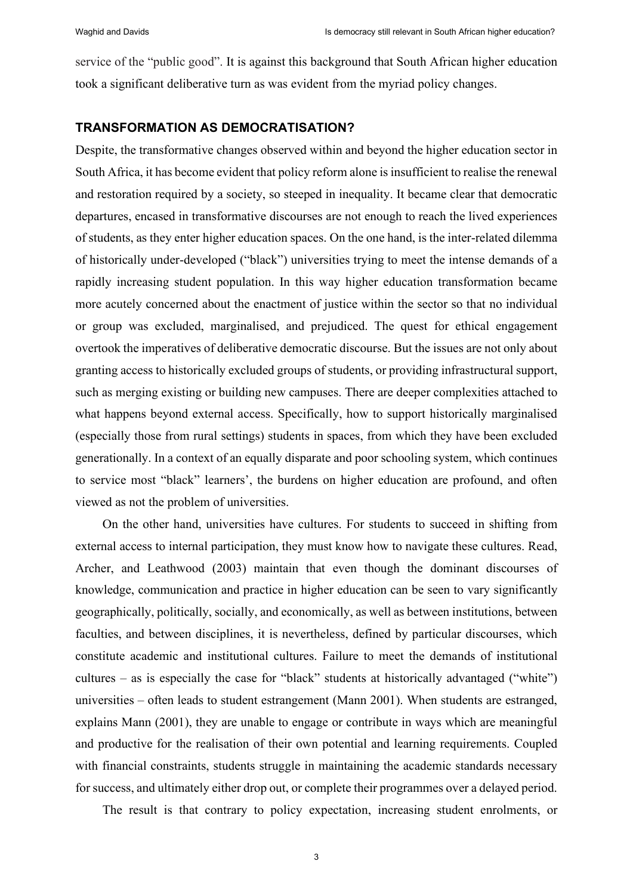service of the "public good". It is against this background that South African higher education took a significant deliberative turn as was evident from the myriad policy changes.

## **TRANSFORMATION AS DEMOCRATISATION?**

Despite, the transformative changes observed within and beyond the higher education sector in South Africa, it has become evident that policy reform alone is insufficient to realise the renewal and restoration required by a society, so steeped in inequality. It became clear that democratic departures, encased in transformative discourses are not enough to reach the lived experiences of students, as they enter higher education spaces. On the one hand, is the inter-related dilemma of historically under-developed ("black") universities trying to meet the intense demands of a rapidly increasing student population. In this way higher education transformation became more acutely concerned about the enactment of justice within the sector so that no individual or group was excluded, marginalised, and prejudiced. The quest for ethical engagement overtook the imperatives of deliberative democratic discourse. But the issues are not only about granting access to historically excluded groups of students, or providing infrastructural support, such as merging existing or building new campuses. There are deeper complexities attached to what happens beyond external access. Specifically, how to support historically marginalised (especially those from rural settings) students in spaces, from which they have been excluded generationally. In a context of an equally disparate and poor schooling system, which continues to service most "black" learners', the burdens on higher education are profound, and often viewed as not the problem of universities.

On the other hand, universities have cultures. For students to succeed in shifting from external access to internal participation, they must know how to navigate these cultures. Read, Archer, and Leathwood (2003) maintain that even though the dominant discourses of knowledge, communication and practice in higher education can be seen to vary significantly geographically, politically, socially, and economically, as well as between institutions, between faculties, and between disciplines, it is nevertheless, defined by particular discourses, which constitute academic and institutional cultures. Failure to meet the demands of institutional cultures – as is especially the case for "black" students at historically advantaged ("white") universities – often leads to student estrangement (Mann 2001). When students are estranged, explains Mann (2001), they are unable to engage or contribute in ways which are meaningful and productive for the realisation of their own potential and learning requirements. Coupled with financial constraints, students struggle in maintaining the academic standards necessary for success, and ultimately either drop out, or complete their programmes over a delayed period.

The result is that contrary to policy expectation, increasing student enrolments, or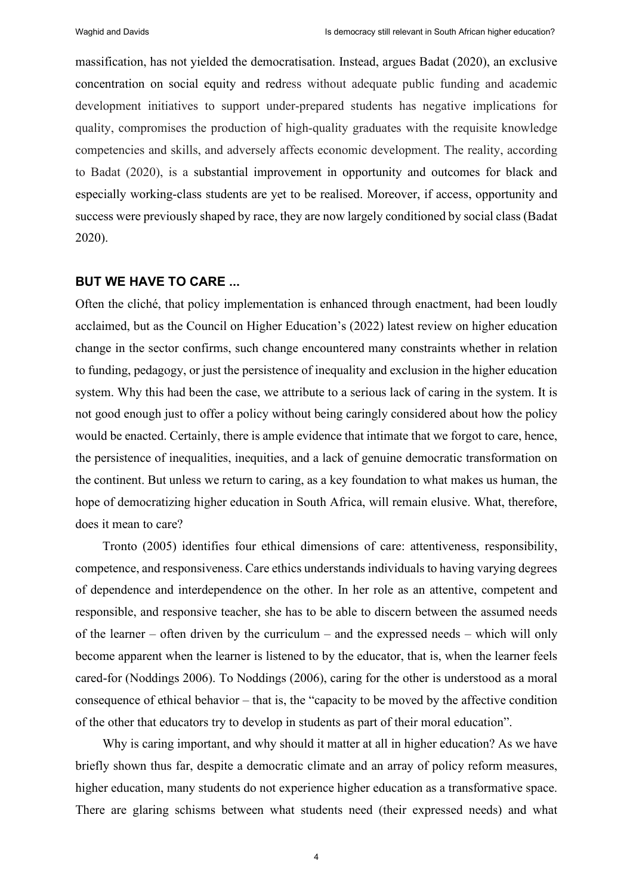massification, has not yielded the democratisation. Instead, argues Badat (2020), an exclusive concentration on social equity and redress without adequate public funding and academic development initiatives to support under-prepared students has negative implications for quality, compromises the production of high-quality graduates with the requisite knowledge competencies and skills, and adversely affects economic development. The reality, according to Badat (2020), is a substantial improvement in opportunity and outcomes for black and especially working-class students are yet to be realised. Moreover, if access, opportunity and success were previously shaped by race, they are now largely conditioned by social class (Badat 2020).

#### **BUT WE HAVE TO CARE ...**

Often the cliché, that policy implementation is enhanced through enactment, had been loudly acclaimed, but as the Council on Higher Education's (2022) latest review on higher education change in the sector confirms, such change encountered many constraints whether in relation to funding, pedagogy, or just the persistence of inequality and exclusion in the higher education system. Why this had been the case, we attribute to a serious lack of caring in the system. It is not good enough just to offer a policy without being caringly considered about how the policy would be enacted. Certainly, there is ample evidence that intimate that we forgot to care, hence, the persistence of inequalities, inequities, and a lack of genuine democratic transformation on the continent. But unless we return to caring, as a key foundation to what makes us human, the hope of democratizing higher education in South Africa, will remain elusive. What, therefore, does it mean to care?

Tronto (2005) identifies four ethical dimensions of care: attentiveness, responsibility, competence, and responsiveness. Care ethics understands individuals to having varying degrees of dependence and interdependence on the other. In her role as an attentive, competent and responsible, and responsive teacher, she has to be able to discern between the assumed needs of the learner – often driven by the curriculum – and the expressed needs – which will only become apparent when the learner is listened to by the educator, that is, when the learner feels cared-for (Noddings 2006). To Noddings (2006), caring for the other is understood as a moral consequence of ethical behavior – that is, the "capacity to be moved by the affective condition of the other that educators try to develop in students as part of their moral education".

Why is caring important, and why should it matter at all in higher education? As we have briefly shown thus far, despite a democratic climate and an array of policy reform measures, higher education, many students do not experience higher education as a transformative space. There are glaring schisms between what students need (their expressed needs) and what

4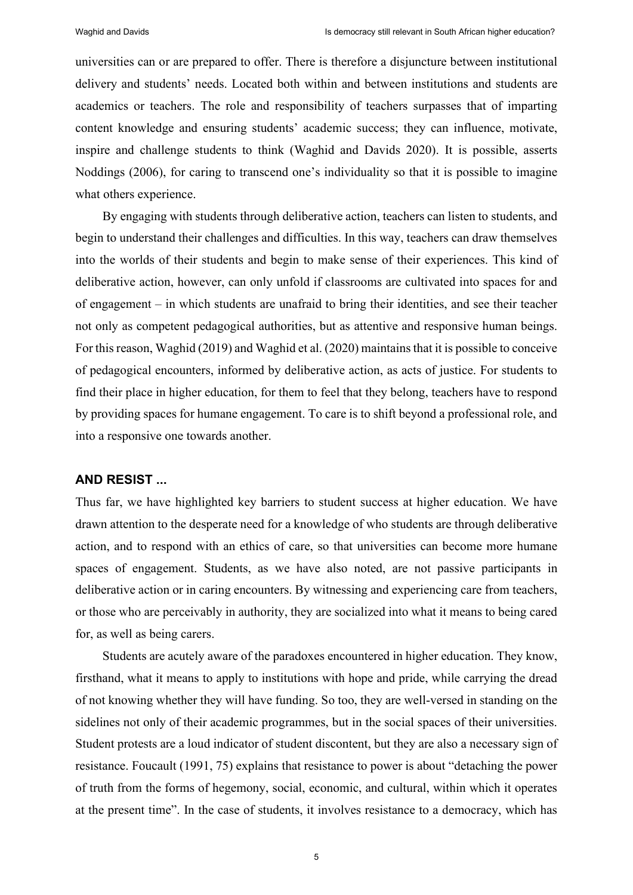universities can or are prepared to offer. There is therefore a disjuncture between institutional delivery and students' needs. Located both within and between institutions and students are academics or teachers. The role and responsibility of teachers surpasses that of imparting content knowledge and ensuring students' academic success; they can influence, motivate, inspire and challenge students to think (Waghid and Davids 2020). It is possible, asserts Noddings (2006), for caring to transcend one's individuality so that it is possible to imagine what others experience.

By engaging with students through deliberative action, teachers can listen to students, and begin to understand their challenges and difficulties. In this way, teachers can draw themselves into the worlds of their students and begin to make sense of their experiences. This kind of deliberative action, however, can only unfold if classrooms are cultivated into spaces for and of engagement – in which students are unafraid to bring their identities, and see their teacher not only as competent pedagogical authorities, but as attentive and responsive human beings. For this reason, Waghid (2019) and Waghid et al. (2020) maintains that it is possible to conceive of pedagogical encounters, informed by deliberative action, as acts of justice. For students to find their place in higher education, for them to feel that they belong, teachers have to respond by providing spaces for humane engagement. To care is to shift beyond a professional role, and into a responsive one towards another.

#### **AND RESIST ...**

Thus far, we have highlighted key barriers to student success at higher education. We have drawn attention to the desperate need for a knowledge of who students are through deliberative action, and to respond with an ethics of care, so that universities can become more humane spaces of engagement. Students, as we have also noted, are not passive participants in deliberative action or in caring encounters. By witnessing and experiencing care from teachers, or those who are perceivably in authority, they are socialized into what it means to being cared for, as well as being carers.

Students are acutely aware of the paradoxes encountered in higher education. They know, firsthand, what it means to apply to institutions with hope and pride, while carrying the dread of not knowing whether they will have funding. So too, they are well-versed in standing on the sidelines not only of their academic programmes, but in the social spaces of their universities. Student protests are a loud indicator of student discontent, but they are also a necessary sign of resistance. Foucault (1991, 75) explains that resistance to power is about "detaching the power of truth from the forms of hegemony, social, economic, and cultural, within which it operates at the present time". In the case of students, it involves resistance to a democracy, which has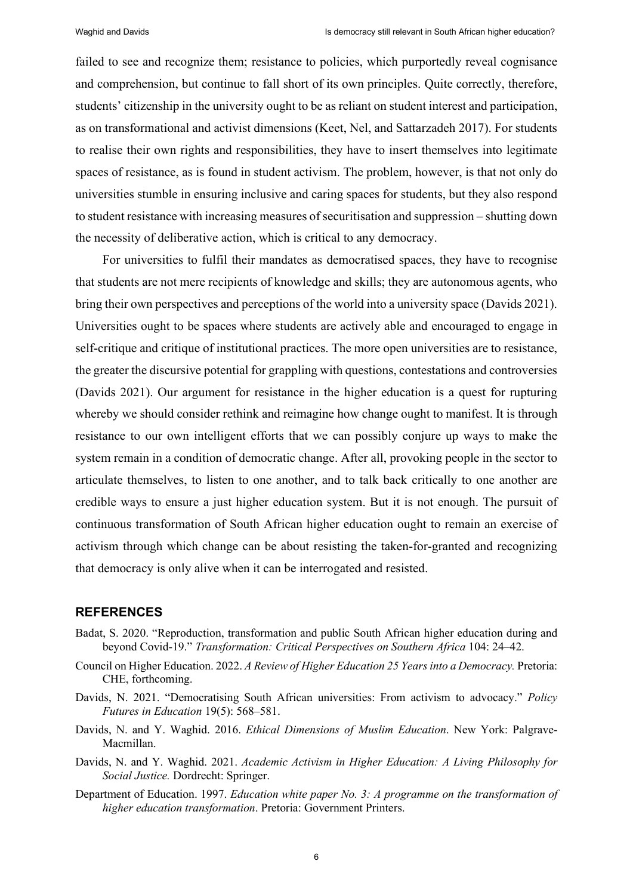failed to see and recognize them; resistance to policies, which purportedly reveal cognisance and comprehension, but continue to fall short of its own principles. Quite correctly, therefore, students' citizenship in the university ought to be as reliant on student interest and participation, as on transformational and activist dimensions (Keet, Nel, and Sattarzadeh 2017). For students to realise their own rights and responsibilities, they have to insert themselves into legitimate spaces of resistance, as is found in student activism. The problem, however, is that not only do universities stumble in ensuring inclusive and caring spaces for students, but they also respond to student resistance with increasing measures of securitisation and suppression – shutting down the necessity of deliberative action, which is critical to any democracy.

For universities to fulfil their mandates as democratised spaces, they have to recognise that students are not mere recipients of knowledge and skills; they are autonomous agents, who bring their own perspectives and perceptions of the world into a university space (Davids 2021). Universities ought to be spaces where students are actively able and encouraged to engage in self-critique and critique of institutional practices. The more open universities are to resistance, the greater the discursive potential for grappling with questions, contestations and controversies (Davids 2021). Our argument for resistance in the higher education is a quest for rupturing whereby we should consider rethink and reimagine how change ought to manifest. It is through resistance to our own intelligent efforts that we can possibly conjure up ways to make the system remain in a condition of democratic change. After all, provoking people in the sector to articulate themselves, to listen to one another, and to talk back critically to one another are credible ways to ensure a just higher education system. But it is not enough. The pursuit of continuous transformation of South African higher education ought to remain an exercise of activism through which change can be about resisting the taken-for-granted and recognizing that democracy is only alive when it can be interrogated and resisted.

# **REFERENCES**

- Badat, S. 2020. "Reproduction, transformation and public South African higher education during and beyond Covid-19." *Transformation: Critical Perspectives on Southern Africa* 104: 24–42.
- Council on Higher Education. 2022. *A Review of Higher Education 25 Years into a Democracy.* Pretoria: CHE, forthcoming.
- Davids, N. 2021. "Democratising South African universities: From activism to advocacy." *Policy Futures in Education* 19(5): 568-581.
- Davids, N. and Y. Waghid. 2016. *Ethical Dimensions of Muslim Education*. New York: Palgrave-Macmillan.
- Davids, N. and Y. Waghid. 2021. *Academic Activism in Higher Education: A Living Philosophy for Social Justice.* Dordrecht: Springer.
- Department of Education. 1997. *Education white paper No. 3: A programme on the transformation of higher education transformation*. Pretoria: Government Printers.